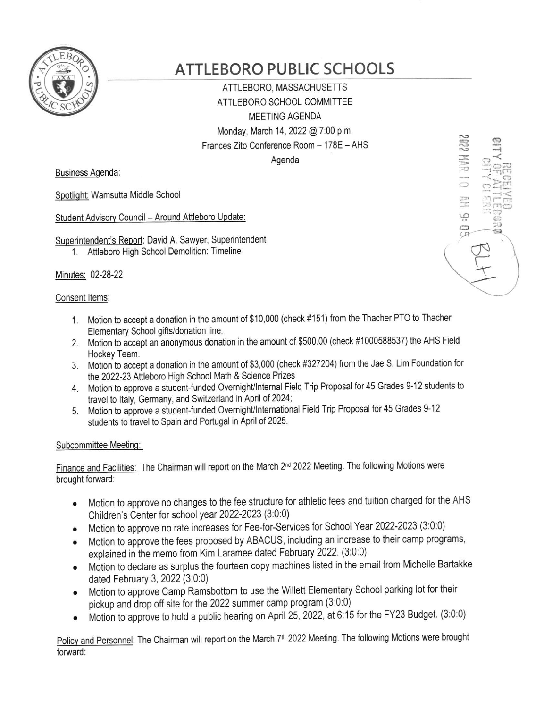

# **ATTLEBORO PUBLIC SCHOOLS**

ATTLEBORO, MASSACHUSETTS ATTLEBORO SCHOOL COMMITTEE **MEETING AGENDA** Monday, March 14, 2022 @ 7:00 p.m. Frances Zito Conference Room - 178E - AHS

Agenda

**Business Agenda:** 

Spotlight: Wamsutta Middle School

Student Advisory Council - Around Attleboro Update:

Superintendent's Report: David A. Sawyer, Superintendent

1. Attleboro High School Demolition: Timeline

Minutes: 02-28-22

## Consent Items:

- 1. Motion to accept a donation in the amount of \$10,000 (check #151) from the Thacher PTO to Thacher Elementary School gifts/donation line.
- 2. Motion to accept an anonymous donation in the amount of \$500.00 (check #1000588537) the AHS Field Hockey Team.
- 3. Motion to accept a donation in the amount of \$3,000 (check #327204) from the Jae S. Lim Foundation for the 2022-23 Attleboro High School Math & Science Prizes
- 4. Motion to approve a student-funded Overnight/Internal Field Trip Proposal for 45 Grades 9-12 students to travel to Italy, Germany, and Switzerland in April of 2024;
- 5. Motion to approve a student-funded Overnight/International Field Trip Proposal for 45 Grades 9-12 students to travel to Spain and Portugal in April of 2025.

## Subcommittee Meeting:

Finance and Facilities: The Chairman will report on the March 2<sup>nd</sup> 2022 Meeting. The following Motions were brought forward:

- Motion to approve no changes to the fee structure for athletic fees and tuition charged for the AHS Children's Center for school year 2022-2023 (3:0:0)
- Motion to approve no rate increases for Fee-for-Services for School Year 2022-2023 (3:0:0)
- Motion to approve the fees proposed by ABACUS, including an increase to their camp programs,  $\bullet$ explained in the memo from Kim Laramee dated February 2022. (3:0:0)
- Motion to declare as surplus the fourteen copy machines listed in the email from Michelle Bartakke dated February 3, 2022 (3:0:0)
- Motion to approve Camp Ramsbottom to use the Willett Elementary School parking lot for their pickup and drop off site for the 2022 summer camp program (3:0:0)
- Motion to approve to hold a public hearing on April 25, 2022, at 6:15 for the FY23 Budget. (3:0:0)

Policy and Personnel: The Chairman will report on the March 7<sup>th</sup> 2022 Meeting. The following Motions were brought forward:

**2022 MAR**  $3:0.2$